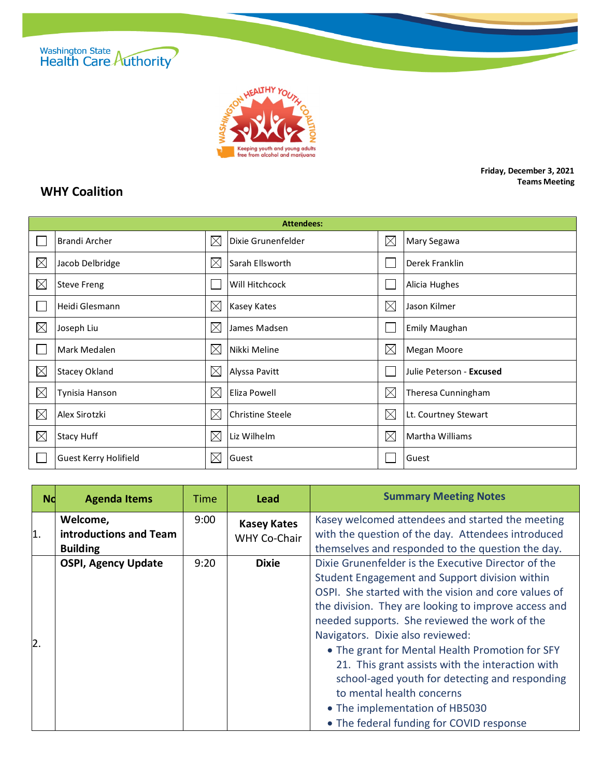



**Friday, December 3, 2021 Teams Meeting**

## **WHY Coalition**

| <b>Attendees:</b> |                              |             |                         |             |                          |  |  |
|-------------------|------------------------------|-------------|-------------------------|-------------|--------------------------|--|--|
|                   | <b>Brandi Archer</b>         | $\boxtimes$ | Dixie Grunenfelder      | $\boxtimes$ | Mary Segawa              |  |  |
| $\boxtimes$       | Jacob Delbridge              | $\boxtimes$ | Sarah Ellsworth         |             | Derek Franklin           |  |  |
| $\boxtimes$       | <b>Steve Freng</b>           |             | Will Hitchcock          |             | Alicia Hughes            |  |  |
|                   | Heidi Glesmann               | $\boxtimes$ | Kasey Kates             | $\boxtimes$ | Jason Kilmer             |  |  |
| $\boxtimes$       | Joseph Liu                   | $\times$    | James Madsen            |             | <b>Emily Maughan</b>     |  |  |
|                   | Mark Medalen                 | $\times$    | Nikki Meline            | $\boxtimes$ | Megan Moore              |  |  |
| $\boxtimes$       | <b>Stacey Okland</b>         | $\times$    | Alyssa Pavitt           |             | Julie Peterson - Excused |  |  |
| $\boxtimes$       | Tynisia Hanson               | $\boxtimes$ | Eliza Powell            | $\boxtimes$ | Theresa Cunningham       |  |  |
| $\boxtimes$       | Alex Sirotzki                | $\boxtimes$ | <b>Christine Steele</b> | $\boxtimes$ | Lt. Courtney Stewart     |  |  |
| $\boxtimes$       | <b>Stacy Huff</b>            | $\times$    | Liz Wilhelm             | $\boxtimes$ | Martha Williams          |  |  |
|                   | <b>Guest Kerry Holifield</b> | $\times$    | Guest                   |             | Guest                    |  |  |

| <b>Nd</b>      | <b>Agenda Items</b>                                   | Time | <b>Lead</b>                        | <b>Summary Meeting Notes</b>                                                                                                                                                                                                                                                                                                                                                                                                                                                                                                                                                   |
|----------------|-------------------------------------------------------|------|------------------------------------|--------------------------------------------------------------------------------------------------------------------------------------------------------------------------------------------------------------------------------------------------------------------------------------------------------------------------------------------------------------------------------------------------------------------------------------------------------------------------------------------------------------------------------------------------------------------------------|
| $\mathbf{1}$ . | Welcome,<br>introductions and Team<br><b>Building</b> | 9:00 | <b>Kasey Kates</b><br>WHY Co-Chair | Kasey welcomed attendees and started the meeting<br>with the question of the day. Attendees introduced<br>themselves and responded to the question the day.                                                                                                                                                                                                                                                                                                                                                                                                                    |
| $\mathsf{2}$ . | <b>OSPI, Agency Update</b>                            | 9:20 | <b>Dixie</b>                       | Dixie Grunenfelder is the Executive Director of the<br>Student Engagement and Support division within<br>OSPI. She started with the vision and core values of<br>the division. They are looking to improve access and<br>needed supports. She reviewed the work of the<br>Navigators. Dixie also reviewed:<br>• The grant for Mental Health Promotion for SFY<br>21. This grant assists with the interaction with<br>school-aged youth for detecting and responding<br>to mental health concerns<br>• The implementation of HB5030<br>• The federal funding for COVID response |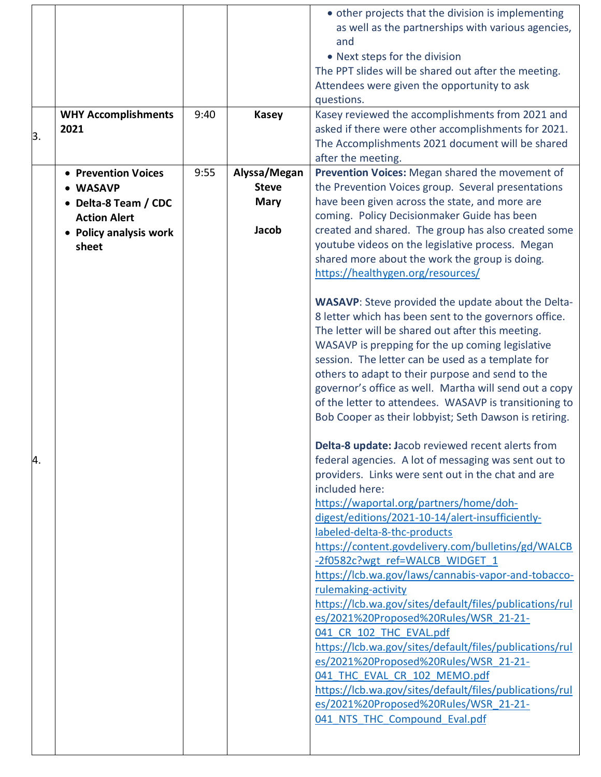|    |                            |      |              | • other projects that the division is implementing        |
|----|----------------------------|------|--------------|-----------------------------------------------------------|
|    |                            |      |              | as well as the partnerships with various agencies,        |
|    |                            |      |              | and                                                       |
|    |                            |      |              |                                                           |
|    |                            |      |              | • Next steps for the division                             |
|    |                            |      |              | The PPT slides will be shared out after the meeting.      |
|    |                            |      |              | Attendees were given the opportunity to ask               |
|    |                            |      |              | questions.                                                |
|    | <b>WHY Accomplishments</b> | 9:40 | <b>Kasey</b> | Kasey reviewed the accomplishments from 2021 and          |
|    | 2021                       |      |              | asked if there were other accomplishments for 2021.       |
| 3. |                            |      |              | The Accomplishments 2021 document will be shared          |
|    |                            |      |              | after the meeting.                                        |
|    | • Prevention Voices        | 9:55 | Alyssa/Megan | Prevention Voices: Megan shared the movement of           |
|    |                            |      | <b>Steve</b> |                                                           |
|    | • WASAVP                   |      |              | the Prevention Voices group. Several presentations        |
|    | • Delta-8 Team / CDC       |      | <b>Mary</b>  | have been given across the state, and more are            |
|    | <b>Action Alert</b>        |      |              | coming. Policy Decisionmaker Guide has been               |
|    | • Policy analysis work     |      | Jacob        | created and shared. The group has also created some       |
|    | sheet                      |      |              | youtube videos on the legislative process. Megan          |
|    |                            |      |              | shared more about the work the group is doing.            |
|    |                            |      |              | https://healthygen.org/resources/                         |
|    |                            |      |              |                                                           |
|    |                            |      |              | <b>WASAVP:</b> Steve provided the update about the Delta- |
|    |                            |      |              | 8 letter which has been sent to the governors office.     |
|    |                            |      |              | The letter will be shared out after this meeting.         |
|    |                            |      |              | WASAVP is prepping for the up coming legislative          |
|    |                            |      |              |                                                           |
|    |                            |      |              | session. The letter can be used as a template for         |
|    |                            |      |              | others to adapt to their purpose and send to the          |
|    |                            |      |              | governor's office as well. Martha will send out a copy    |
|    |                            |      |              | of the letter to attendees. WASAVP is transitioning to    |
|    |                            |      |              | Bob Cooper as their lobbyist; Seth Dawson is retiring.    |
|    |                            |      |              |                                                           |
|    |                            |      |              | Delta-8 update: Jacob reviewed recent alerts from         |
| 4. |                            |      |              | federal agencies. A lot of messaging was sent out to      |
|    |                            |      |              | providers. Links were sent out in the chat and are        |
|    |                            |      |              | included here:                                            |
|    |                            |      |              | https://waportal.org/partners/home/doh-                   |
|    |                            |      |              | digest/editions/2021-10-14/alert-insufficiently-          |
|    |                            |      |              | labeled-delta-8-thc-products                              |
|    |                            |      |              |                                                           |
|    |                            |      |              | https://content.govdelivery.com/bulletins/gd/WALCB        |
|    |                            |      |              | -2f0582c?wgt ref=WALCB WIDGET 1                           |
|    |                            |      |              | https://lcb.wa.gov/laws/cannabis-vapor-and-tobacco-       |
|    |                            |      |              | rulemaking-activity                                       |
|    |                            |      |              | https://lcb.wa.gov/sites/default/files/publications/rul   |
|    |                            |      |              | es/2021%20Proposed%20Rules/WSR 21-21-                     |
|    |                            |      |              | 041 CR 102 THC EVAL.pdf                                   |
|    |                            |      |              | https://lcb.wa.gov/sites/default/files/publications/rul   |
|    |                            |      |              | es/2021%20Proposed%20Rules/WSR 21-21-                     |
|    |                            |      |              | 041 THC EVAL CR 102 MEMO.pdf                              |
|    |                            |      |              | https://lcb.wa.gov/sites/default/files/publications/rul   |
|    |                            |      |              | es/2021%20Proposed%20Rules/WSR 21-21-                     |
|    |                            |      |              | 041 NTS THC Compound Eval.pdf                             |
|    |                            |      |              |                                                           |
|    |                            |      |              |                                                           |
|    |                            |      |              |                                                           |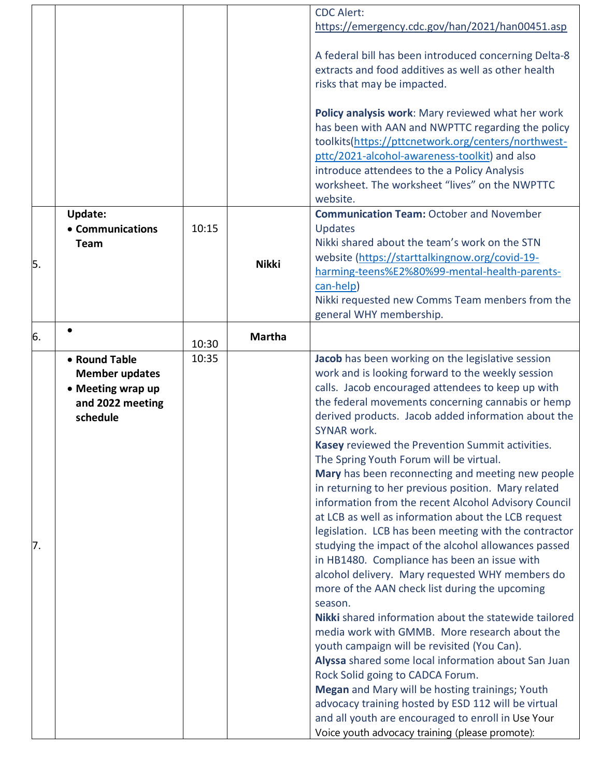|    |                       |       |               | <b>CDC Alert:</b>                                                                                                                           |
|----|-----------------------|-------|---------------|---------------------------------------------------------------------------------------------------------------------------------------------|
|    |                       |       |               | https://emergency.cdc.gov/han/2021/han00451.asp                                                                                             |
|    |                       |       |               | A federal bill has been introduced concerning Delta-8<br>extracts and food additives as well as other health<br>risks that may be impacted. |
|    |                       |       |               | Policy analysis work: Mary reviewed what her work                                                                                           |
|    |                       |       |               | has been with AAN and NWPTTC regarding the policy                                                                                           |
|    |                       |       |               | toolkits(https://pttcnetwork.org/centers/northwest-                                                                                         |
|    |                       |       |               | pttc/2021-alcohol-awareness-toolkit) and also<br>introduce attendees to the a Policy Analysis                                               |
|    |                       |       |               | worksheet. The worksheet "lives" on the NWPTTC                                                                                              |
|    |                       |       |               | website.                                                                                                                                    |
|    | <b>Update:</b>        |       |               | <b>Communication Team: October and November</b>                                                                                             |
|    | • Communications      | 10:15 |               | Updates                                                                                                                                     |
|    | <b>Team</b>           |       |               | Nikki shared about the team's work on the STN                                                                                               |
| 5. |                       |       | <b>Nikki</b>  | website (https://starttalkingnow.org/covid-19-                                                                                              |
|    |                       |       |               | harming-teens%E2%80%99-mental-health-parents-                                                                                               |
|    |                       |       |               | can-help)                                                                                                                                   |
|    |                       |       |               | Nikki requested new Comms Team menbers from the                                                                                             |
|    |                       |       |               | general WHY membership.                                                                                                                     |
| 6. |                       | 10:30 | <b>Martha</b> |                                                                                                                                             |
|    | • Round Table         | 10:35 |               | Jacob has been working on the legislative session                                                                                           |
|    | <b>Member updates</b> |       |               | work and is looking forward to the weekly session                                                                                           |
|    | • Meeting wrap up     |       |               | calls. Jacob encouraged attendees to keep up with                                                                                           |
|    | and 2022 meeting      |       |               | the federal movements concerning cannabis or hemp                                                                                           |
|    | schedule              |       |               | derived products. Jacob added information about the                                                                                         |
|    |                       |       |               | SYNAR work.                                                                                                                                 |
|    |                       |       |               | Kasey reviewed the Prevention Summit activities.<br>The Spring Youth Forum will be virtual.                                                 |
|    |                       |       |               | Mary has been reconnecting and meeting new people                                                                                           |
|    |                       |       |               | in returning to her previous position. Mary related                                                                                         |
|    |                       |       |               | information from the recent Alcohol Advisory Council<br>at LCB as well as information about the LCB request                                 |
|    |                       |       |               | legislation. LCB has been meeting with the contractor                                                                                       |
| 7. |                       |       |               | studying the impact of the alcohol allowances passed                                                                                        |
|    |                       |       |               | in HB1480. Compliance has been an issue with                                                                                                |
|    |                       |       |               | alcohol delivery. Mary requested WHY members do                                                                                             |
|    |                       |       |               | more of the AAN check list during the upcoming                                                                                              |
|    |                       |       |               | season.                                                                                                                                     |
|    |                       |       |               | Nikki shared information about the statewide tailored                                                                                       |
|    |                       |       |               | media work with GMMB. More research about the                                                                                               |
|    |                       |       |               | youth campaign will be revisited (You Can).<br>Alyssa shared some local information about San Juan                                          |
|    |                       |       |               | Rock Solid going to CADCA Forum.                                                                                                            |
|    |                       |       |               | Megan and Mary will be hosting trainings; Youth                                                                                             |
|    |                       |       |               | advocacy training hosted by ESD 112 will be virtual                                                                                         |
|    |                       |       |               | and all youth are encouraged to enroll in Use Your                                                                                          |
|    |                       |       |               | Voice youth advocacy training (please promote):                                                                                             |